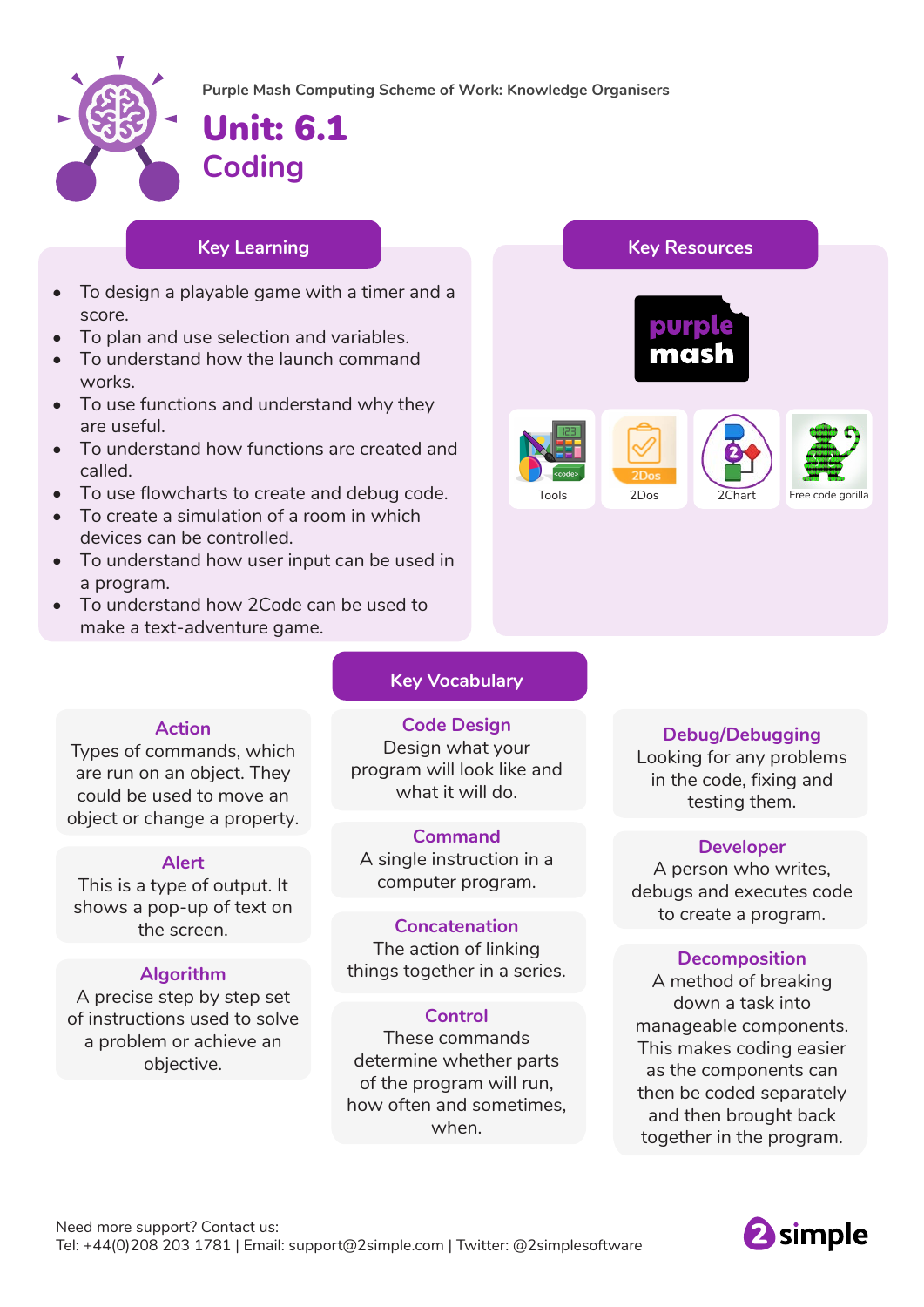

**Purple Mash Computing Scheme of Work: Knowledge Organisers**

# Unit: 6.1 **Coding**

## **Key Learning Key Resources**

- To design a playable game with a timer and a score.
- To plan and use selection and variables.
- To understand how the launch command works.
- To use functions and understand why they are useful.
- To understand how functions are created and called.
- To use flowcharts to create and debug code.
- To create a simulation of a room in which devices can be controlled.
- To understand how user input can be used in a program.
- To understand how 2Code can be used to make a text-adventure game.

## **Key Vocabulary**

### **Action**

Types of commands, which are run on an object. They could be used to move an object or change a property.

## **Alert**

This is a type of output. It shows a pop-up of text on the screen.

## **Algorithm**

A precise step by step set of instructions used to solve a problem or achieve an objective.

**Code Design** Design what your program will look like and what it will do.

**Command** A single instruction in a computer program.

### **Concatenation**

The action of linking things together in a series.

### **Control**

These commands determine whether parts of the program will run, how often and sometimes, when.

## **Debug/Debugging**

Tools 2Dos 2Chart Free code gorilla

Looking for any problems in the code, fixing and testing them.

### **Developer**

A person who writes, debugs and executes code to create a program.

## **Decomposition**

A method of breaking down a task into manageable components. This makes coding easier as the components can then be coded separately and then brought back together in the program.

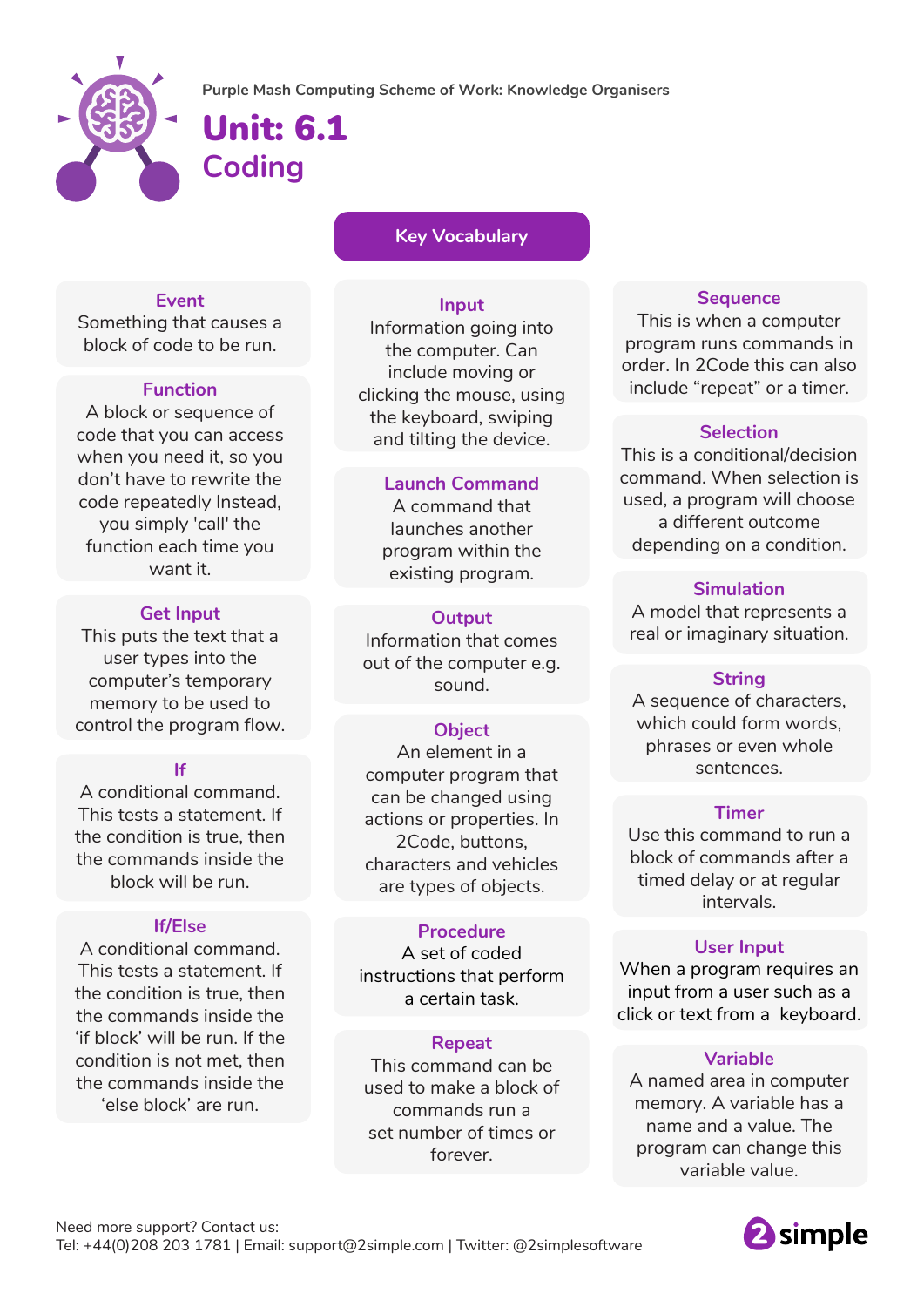

## Unit: 6.1 **Coding**

**Key Vocabulary**

## **Event**

Something that causes a block of code to be run.

## **Function**

A block or sequence of code that you can access when you need it, so you don't have to rewrite the code repeatedly Instead, you simply 'call' the function each time you want it.

## **Get Input**

This puts the text that a user types into the computer's temporary memory to be used to control the program flow.

## **If**

A conditional command. This tests a statement. If the condition is true, then the commands inside the block will be run.

## **If/Else**

A conditional command. This tests a statement. If the condition is true, then the commands inside the 'if block' will be run. If the condition is not met, then the commands inside the 'else block' are run.

**Input**

Information going into the computer. Can include moving or clicking the mouse, using the keyboard, swiping and tilting the device.

## **Launch Command**

A command that launches another program within the existing program.

## **Output**

Information that comes out of the computer e.g. sound.

## **Object**

An element in a computer program that can be changed using actions or properties. In 2Code, buttons, characters and vehicles are types of objects.

## **Procedure**

A set of coded instructions that perform a certain task.

## **Repeat**

This command can be used to make a block of commands run a set number of times or forever.

## **Sequence**

This is when a computer program runs commands in order. In 2Code this can also include "repeat" or a timer.

## **Selection**

This is a conditional/decision command. When selection is used, a program will choose a different outcome depending on a condition.

## **Simulation**

A model that represents a real or imaginary situation.

## **String**

A sequence of characters, which could form words, phrases or even whole sentences.

### **Timer**

Use this command to run a block of commands after a timed delay or at regular intervals.

## **User Input**

When a program requires an input from a user such as a click or text from a keyboard.

## **Variable**

A named area in computer memory. A variable has a name and a value. The program can change this variable value.

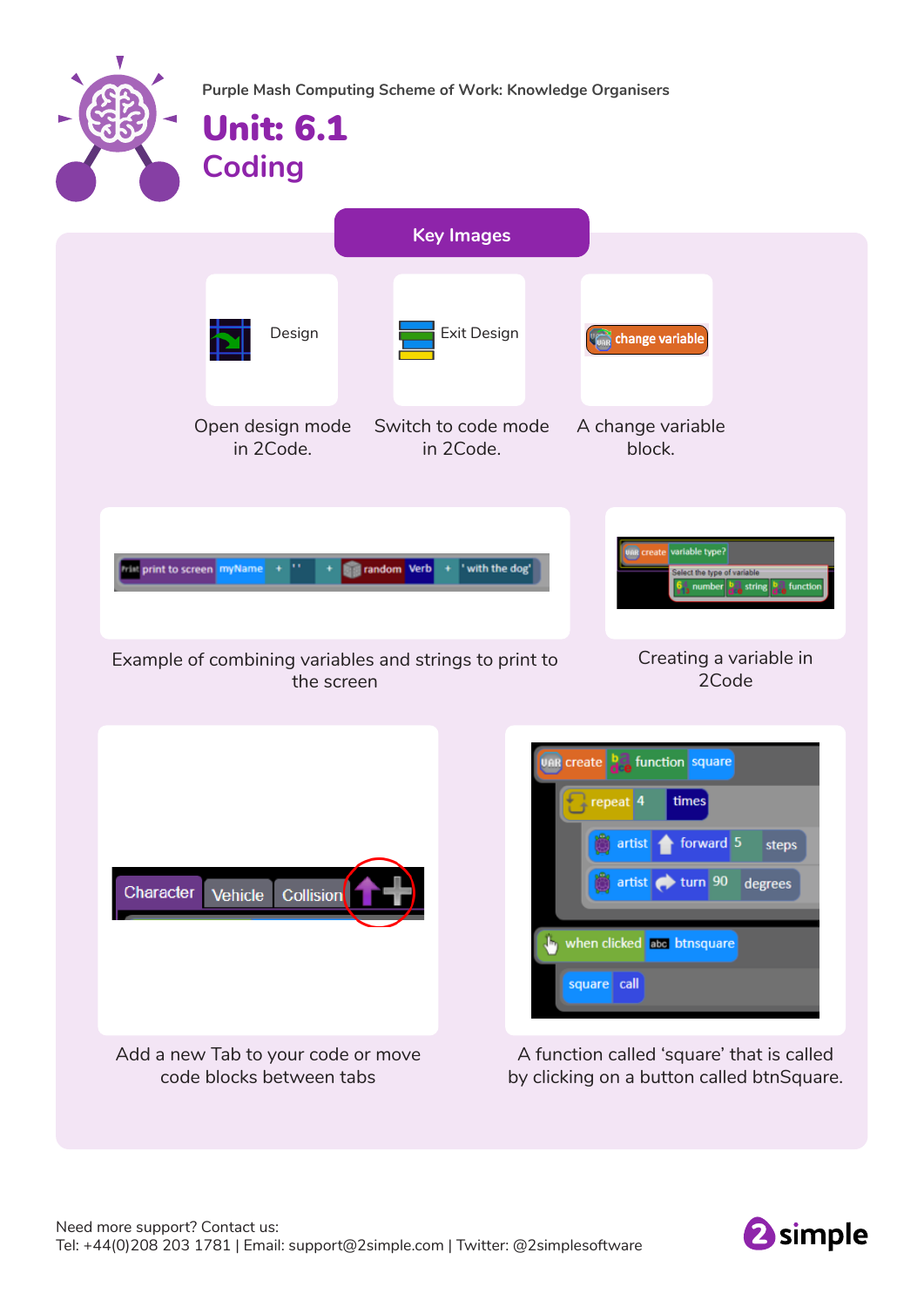